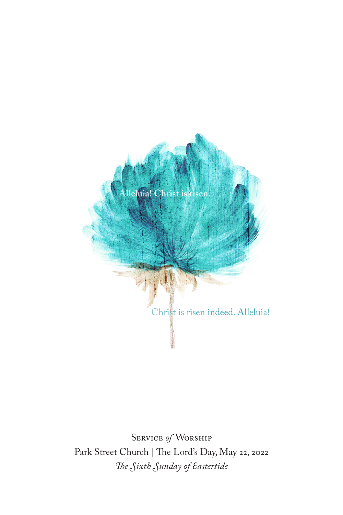

Service *of* Worship Park Street Church | The Lord's Day, May 22, 2022 *The Sixth Sunday of Eastertide*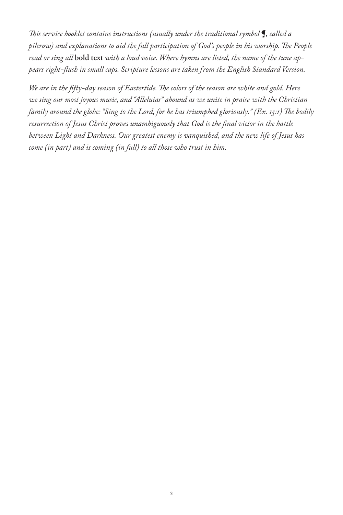*This service booklet contains instructions (usually under the traditional symbol* ¶*, called a pilcrow) and explanations to aid the full participation of God's people in his worship. The People read or sing all* **bold text** *with a loud voice. Where hymns are listed, the name of the tune appears right-flush in small caps. Scripture lessons are taken from the English Standard Version.*

*We are in the fifty-day season of Eastertide. The colors of the season are white and gold. Here we sing our most joyous music, and "Alleluias" abound as we unite in praise with the Christian family around the globe: "Sing to the Lord, for he has triumphed gloriously." (Ex. 15:1) The bodily resurrection of Jesus Christ proves unambiguously that God is the final victor in the battle between Light and Darkness. Our greatest enemy is vanquished, and the new life of Jesus has come (in part) and is coming (in full) to all those who trust in him.*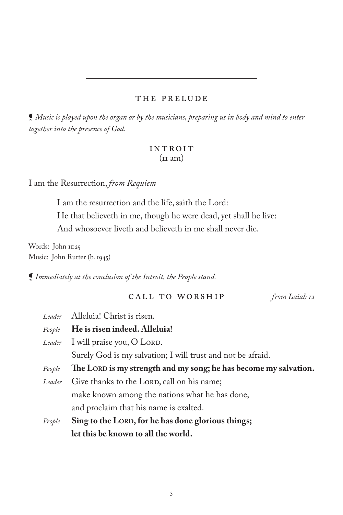### THE PRELUDE

¶ *Music is played upon the organ or by the musicians, preparing us in body and mind to enter together into the presence of God.* 

### **INTROIT**  $(\text{II am})$

I am the Resurrection, *from Requiem*

I am the resurrection and the life, saith the Lord: He that believeth in me, though he were dead, yet shall he live: And whosoever liveth and believeth in me shall never die.

Words: John 11:25 Music: John Rutter (b. 1945)

¶ *Immediately at the conclusion of the Introit, the People stand.*

# call to worship *from Isaiah 12*

|  | Leader                                                           | Alleluia! Christ is risen.                                  |  |  |
|--|------------------------------------------------------------------|-------------------------------------------------------------|--|--|
|  | People                                                           | He is risen indeed. Alleluia!                               |  |  |
|  | Leader                                                           | I will praise you, O LORD.                                  |  |  |
|  |                                                                  | Surely God is my salvation; I will trust and not be afraid. |  |  |
|  | The LORD is my strength and my song; he has become my salvation. |                                                             |  |  |
|  | Leader                                                           | Give thanks to the LORD, call on his name;                  |  |  |
|  |                                                                  | make known among the nations what he has done,              |  |  |
|  |                                                                  | and proclaim that his name is exalted.                      |  |  |
|  | People                                                           | Sing to the LORD, for he has done glorious things;          |  |  |
|  |                                                                  | let this be known to all the world.                         |  |  |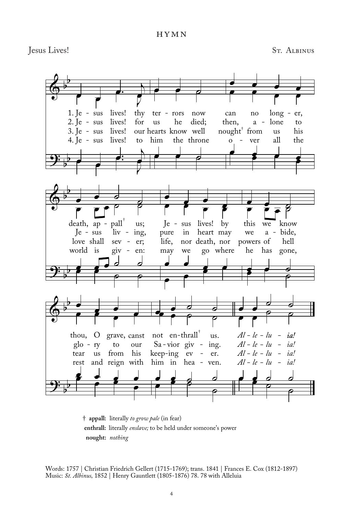hymn

Jesus Lives! St. Albinus



† **appall:** literally *to grow pale* (in fear) **enthrall:** literally *enslave;* to be held under someone's power **nought:** *nothing*

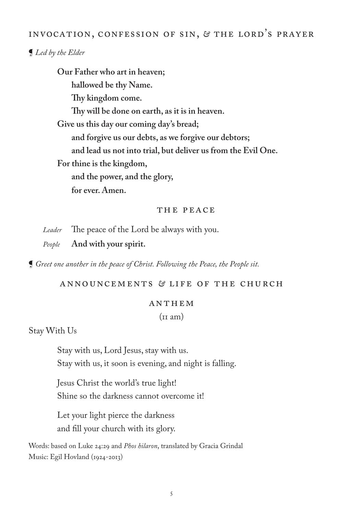# INVOCATION, CONFESSION OF SIN, *&* THE LORD'S PRAYER

# ¶ *Led by the Elder*

**Our Father who art in heaven; hallowed be thy Name. Thy kingdom come. Thy will be done on earth, as it is in heaven. Give us this day our coming day's bread; and forgive us our debts, as we forgive our debtors; and lead us not into trial, but deliver us from the Evil One. For thine is the kingdom, and the power, and the glory, for ever. Amen.**

#### THE PEACE

*Leader* The peace of the Lord be always with you.

*People* **And with your spirit.**

¶ *Greet one another in the peace of Christ. Following the Peace, the People sit.*

Announcements *&* LIFE OF THE CHURCH

#### ANTHEM

 $(in am)$ 

Stay With Us

Stay with us, Lord Jesus, stay with us. Stay with us, it soon is evening, and night is falling.

Jesus Christ the world's true light! Shine so the darkness cannot overcome it!

Let your light pierce the darkness and fill your church with its glory.

Words: based on Luke 24:29 and *Phos hilaron*, translated by Gracia Grindal Music: Egil Hovland (1924-2013)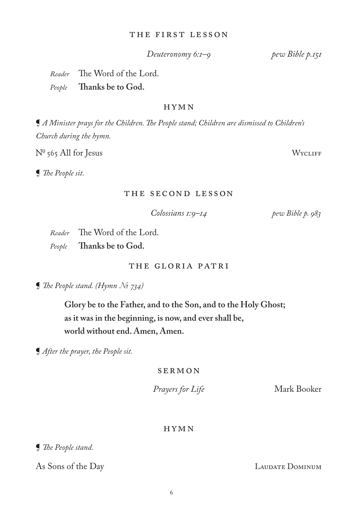### The First Lesson

# *Deuteronomy 6:1–9 pew Bible p.151*

*Reader* The Word of the Lord.

*People* **Thanks be to God.**

### HYMN

¶ *A Minister prays for the Children. The People stand; Children are dismissed to Children's Church during the hymn.*

 $N^{\circ}$  565 All for Jesus Wycliff

¶ *The People sit.*

### The Second Lesson

 *Colossians 1:9–14 pew Bible p. 983*

*Reader* The Word of the Lord. *People* **Thanks be to God.**

### The Gloria Patri

¶ *The People stand. (Hymn № 734)*

**Glory be to the Father, and to the Son, and to the Holy Ghost; as it was in the beginning, is now, and ever shall be, world without end. Amen, Amen.**

¶ *After the prayer, the People sit.*

SERMON

*Prayers for Life* Mark Booker

### HYMN

¶ *The People stand.*

As Sons of the Day LAUDATE DOMINUM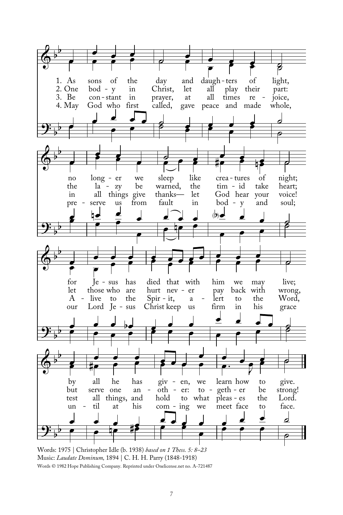

Words: 1975 | Christopher Idle (b. 1938) *based on 1 Thess. 5: 8–23* Music: *Laudate Dominum,* 1894 | C. H. H. Parry (1848-1918) Words © 1982 Hope Publishing Company. Reprinted under Onelicense.net no. A-721487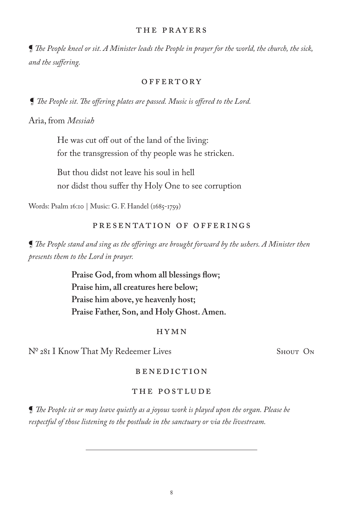#### THE PRAYERS

¶ *The People kneel or sit. A Minister leads the People in prayer for the world, the church, the sick, and the suffering.*

#### **OFFERTORY**

¶ *The People sit. The offering plates are passed. Music is offered to the Lord.* 

Aria, from *Messiah*

He was cut off out of the land of the living: for the transgression of thy people was he stricken.

But thou didst not leave his soul in hell nor didst thou suffer thy Holy One to see corruption

Words: Psalm 16:10 | Music: G. F. Handel (1685-1759)

### Presentation of Offerings

¶ *The People stand and sing as the offerings are brought forward by the ushers. A Minister then presents them to the Lord in prayer.*

> **Praise God, from whom all blessings flow; Praise him, all creatures here below; Praise him above, ye heavenly host; Praise Father, Son, and Holy Ghost. Amen.**

#### HYMN

Nº 281 I Know That My Redeemer Lives Shout On

#### BENEDICTION

#### The POSTLUDE

¶ *The People sit or may leave quietly as a joyous work is played upon the organ. Please be respectful of those listening to the postlude in the sanctuary or via the livestream.*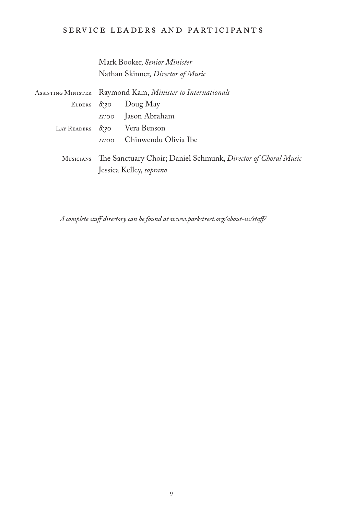# service leaders and participants

Mark Booker, *Senior Minister* Nathan Skinner, *Director of Music*

| ASSISTING MINISTER Raymond Kam, <i>Minister to Internationals</i>                                  |                              |  |
|----------------------------------------------------------------------------------------------------|------------------------------|--|
|                                                                                                    | ELDERS $8.30$ Doug May       |  |
|                                                                                                    | <i>II</i> :00 Jason Abraham  |  |
|                                                                                                    | LAY READERS 8.30 Vera Benson |  |
| II:OO                                                                                              | Chinwendu Olivia Ibe         |  |
| MUSICIANS The Sanctuary Choir; Daniel Schmunk, Director of Choral Music<br>Jessica Kelley, soprano |                              |  |

*A complete staff directory can be found at www.parkstreet.org/about-us/staff/*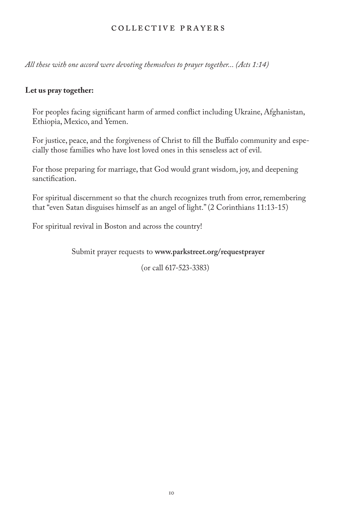### COLLECTIVE PRAYERS

*All these with one accord were devoting themselves to prayer together... (Acts 1:14)*

### **Let us pray together:**

For peoples facing significant harm of armed conflict including Ukraine, Afghanistan, Ethiopia, Mexico, and Yemen.

For justice, peace, and the forgiveness of Christ to fill the Buffalo community and especially those families who have lost loved ones in this senseless act of evil.

For those preparing for marriage, that God would grant wisdom, joy, and deepening sanctification.

For spiritual discernment so that the church recognizes truth from error, remembering that "even Satan disguises himself as an angel of light." (2 Corinthians 11:13-15)

For spiritual revival in Boston and across the country!

Submit prayer requests to **www.parkstreet.org/requestprayer**

(or call 617-523-3383)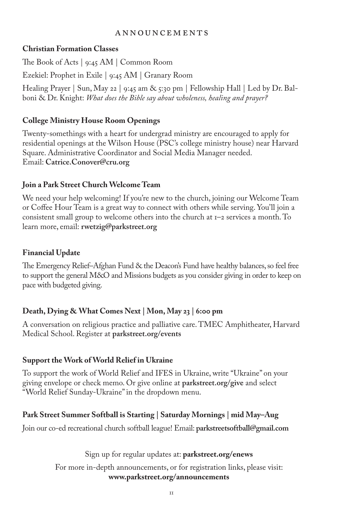### **ANNOUNCEMENTS**

# **Christian Formation Classes**

The Book of Acts | 9:45 AM | Common Room Ezekiel: Prophet in Exile | 9:45 AM | Granary Room Healing Prayer | Sun, May 22 | 9:45 am & 5:30 pm | Fellowship Hall | Led by Dr. Balboni & Dr. Knight: *What does the Bible say about wholeness, healing and prayer?* 

# **College Ministry House Room Openings**

Twenty-somethings with a heart for undergrad ministry are encouraged to apply for residential openings at the Wilson House (PSC's college ministry house) near Harvard Square. Administrative Coordinator and Social Media Manager needed. Email: **Catrice.Conover@cru.org** 

### **Join a Park Street Church Welcome Team**

We need your help welcoming! If you're new to the church, joining our Welcome Team or Coffee Hour Team is a great way to connect with others while serving. You'll join a consistent small group to welcome others into the church at 1–2 services a month. To learn more, email: **rwetzig@parkstreet.org** 

### **Financial Update**

The Emergency Relief–Afghan Fund & the Deacon's Fund have healthy balances, so feel free to support the general M&O and Missions budgets as you consider giving in order to keep on pace with budgeted giving.

# **Death, Dying & What Comes Next | Mon, May 23 | 6:00 pm**

A conversation on religious practice and palliative care. TMEC Amphitheater, Harvard Medical School. Register at **parkstreet.org/events**

# **Support the Work of World Relief in Ukraine**

To support the work of World Relief and IFES in Ukraine, write "Ukraine" on your giving envelope or check memo. Or give online at **parkstreet.org/give** and select "World Relief Sunday-Ukraine" in the dropdown menu.

# **Park Street Summer Softball is Starting | Saturday Mornings | mid May–Aug**

Join our co-ed recreational church softball league! Email: **parkstreetsoftball@gmail.com** 

Sign up for regular updates at: **parkstreet.org/enews** 

For more in-depth announcements, or for registration links, please visit: **www.parkstreet.org/announcements**